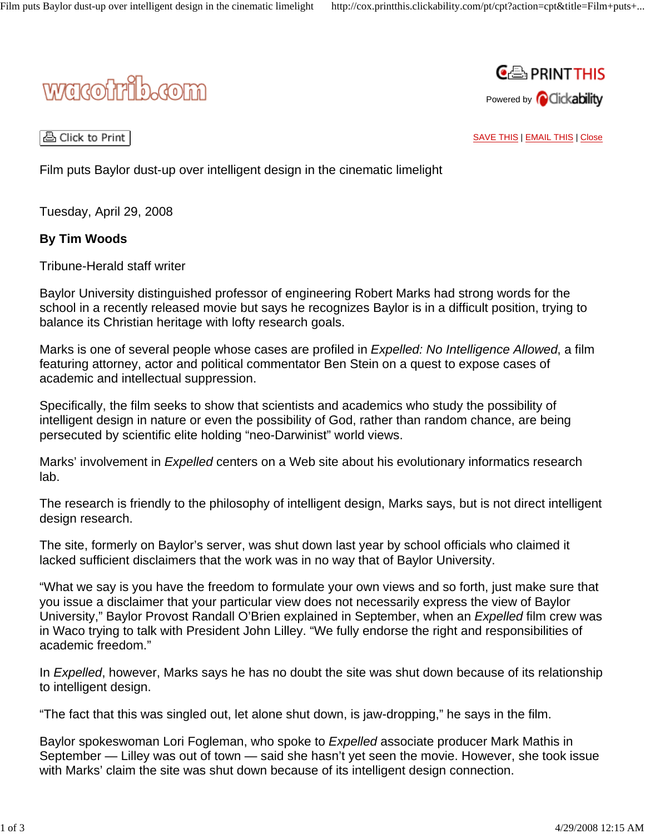



A Click to Print |

SAVE THIS | EMAIL THIS | Close

Film puts Baylor dust-up over intelligent design in the cinematic limelight

Tuesday, April 29, 2008

## **By Tim Woods**

Tribune-Herald staff writer

Baylor University distinguished professor of engineering Robert Marks had strong words for the school in a recently released movie but says he recognizes Baylor is in a difficult position, trying to balance its Christian heritage with lofty research goals.

Marks is one of several people whose cases are profiled in *Expelled: No Intelligence Allowed*, a film featuring attorney, actor and political commentator Ben Stein on a quest to expose cases of academic and intellectual suppression.

Specifically, the film seeks to show that scientists and academics who study the possibility of intelligent design in nature or even the possibility of God, rather than random chance, are being persecuted by scientific elite holding "neo-Darwinist" world views.

Marks' involvement in *Expelled* centers on a Web site about his evolutionary informatics research lab.

The research is friendly to the philosophy of intelligent design, Marks says, but is not direct intelligent design research.

The site, formerly on Baylor's server, was shut down last year by school officials who claimed it lacked sufficient disclaimers that the work was in no way that of Baylor University.

"What we say is you have the freedom to formulate your own views and so forth, just make sure that you issue a disclaimer that your particular view does not necessarily express the view of Baylor University," Baylor Provost Randall O'Brien explained in September, when an *Expelled* film crew was in Waco trying to talk with President John Lilley. "We fully endorse the right and responsibilities of academic freedom."

In *Expelled*, however, Marks says he has no doubt the site was shut down because of its relationship to intelligent design.

"The fact that this was singled out, let alone shut down, is jaw-dropping," he says in the film.

Baylor spokeswoman Lori Fogleman, who spoke to *Expelled* associate producer Mark Mathis in September — Lilley was out of town — said she hasn't yet seen the movie. However, she took issue with Marks' claim the site was shut down because of its intelligent design connection.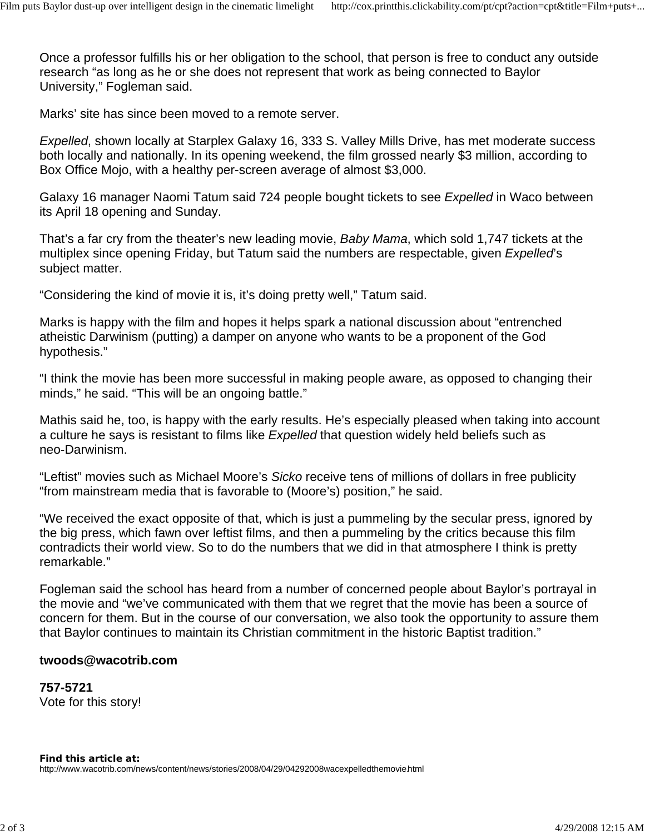Once a professor fulfills his or her obligation to the school, that person is free to conduct any outside research "as long as he or she does not represent that work as being connected to Baylor University," Fogleman said.

Marks' site has since been moved to a remote server.

*Expelled*, shown locally at Starplex Galaxy 16, 333 S. Valley Mills Drive, has met moderate success both locally and nationally. In its opening weekend, the film grossed nearly \$3 million, according to Box Office Mojo, with a healthy per-screen average of almost \$3,000.

Galaxy 16 manager Naomi Tatum said 724 people bought tickets to see *Expelled* in Waco between its April 18 opening and Sunday.

That's a far cry from the theater's new leading movie, *Baby Mama*, which sold 1,747 tickets at the multiplex since opening Friday, but Tatum said the numbers are respectable, given *Expelled*'s subject matter.

"Considering the kind of movie it is, it's doing pretty well," Tatum said.

Marks is happy with the film and hopes it helps spark a national discussion about "entrenched atheistic Darwinism (putting) a damper on anyone who wants to be a proponent of the God hypothesis."

"I think the movie has been more successful in making people aware, as opposed to changing their minds," he said. "This will be an ongoing battle."

Mathis said he, too, is happy with the early results. He's especially pleased when taking into account a culture he says is resistant to films like *Expelled* that question widely held beliefs such as neo-Darwinism.

"Leftist" movies such as Michael Moore's *Sicko* receive tens of millions of dollars in free publicity "from mainstream media that is favorable to (Moore's) position," he said.

"We received the exact opposite of that, which is just a pummeling by the secular press, ignored by the big press, which fawn over leftist films, and then a pummeling by the critics because this film contradicts their world view. So to do the numbers that we did in that atmosphere I think is pretty remarkable."

Fogleman said the school has heard from a number of concerned people about Baylor's portrayal in the movie and "we've communicated with them that we regret that the movie has been a source of concern for them. But in the course of our conversation, we also took the opportunity to assure them that Baylor continues to maintain its Christian commitment in the historic Baptist tradition."

## **twoods@wacotrib.com**

**757-5721** Vote for this story!